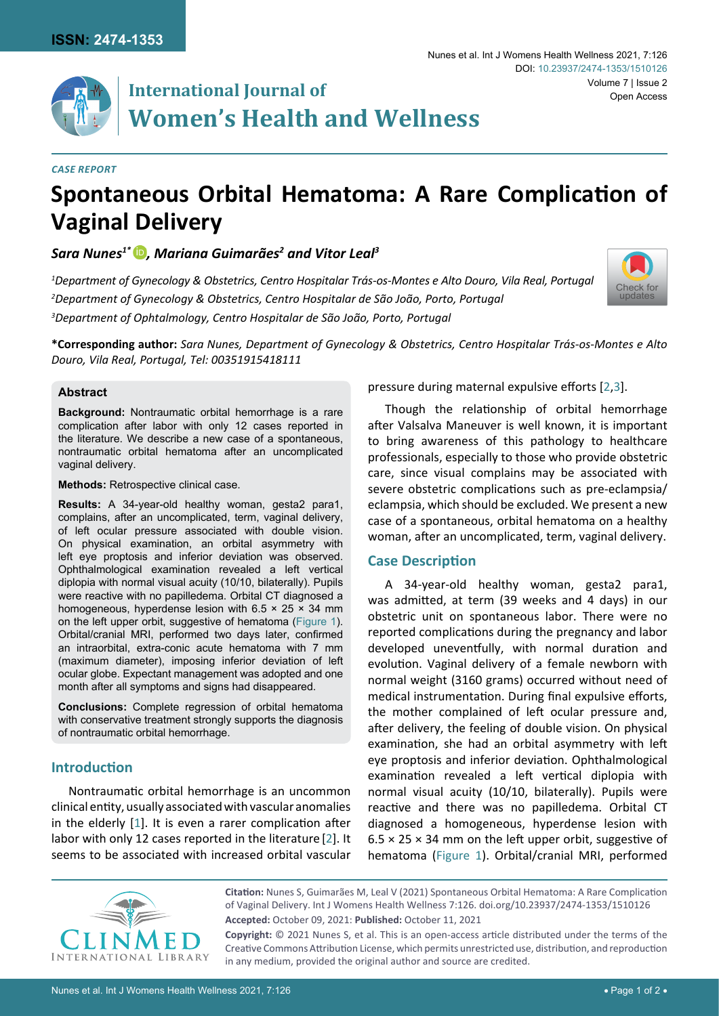

# **International Journal of Women's Health and Wellness**

#### *Case Report*

# **Spontaneous Orbital Hematoma: A Rare Complication of Vaginal Delivery**

## *Sara Nunes1\** [iD](https://orcid.org/0000-0003-3527-5760) *, Mariana Guimarães2 and Vitor Leal3*

*1 Department of Gynecology & Obstetrics, Centro Hospitalar Trás-os-Montes e Alto Douro, Vila Real, Portugal 2 Department of Gynecology & Obstetrics, Centro Hospitalar de São João, Porto, Portugal 3 Department of Ophtalmology, Centro Hospitalar de São João, Porto, Portugal*



**\*Corresponding author:** *Sara Nunes, Department of Gynecology & Obstetrics, Centro Hospitalar Trás-os-Montes e Alto Douro, Vila Real, Portugal, Tel: 00351915418111*

#### **Abstract**

**Background:** Nontraumatic orbital hemorrhage is a rare complication after labor with only 12 cases reported in the literature. We describe a new case of a spontaneous, nontraumatic orbital hematoma after an uncomplicated vaginal delivery.

**Methods:** Retrospective clinical case.

**Results:** A 34-year-old healthy woman, gesta2 para1, complains, after an uncomplicated, term, vaginal delivery, of left ocular pressure associated with double vision. On physical examination, an orbital asymmetry with left eye proptosis and inferior deviation was observed. Ophthalmological examination revealed a left vertical diplopia with normal visual acuity (10/10, bilaterally). Pupils were reactive with no papilledema. Orbital CT diagnosed a homogeneous, hyperdense lesion with  $6.5 \times 25 \times 34$  mm on the left upper orbit, suggestive of hematoma [\(Figure 1\)](#page-1-0). Orbital/cranial MRI, performed two days later, confirmed an intraorbital, extra-conic acute hematoma with 7 mm (maximum diameter), imposing inferior deviation of left ocular globe. Expectant management was adopted and one month after all symptoms and signs had disappeared.

**Conclusions:** Complete regression of orbital hematoma with conservative treatment strongly supports the diagnosis of nontraumatic orbital hemorrhage.

## **Introduction**

Nontraumatic orbital hemorrhage is an uncommon clinical entity, usually associated with vascular anomalies in the elderly [[1](#page-1-3)]. It is even a rarer complication after labor with only 12 cases reported in the literature [[2](#page-1-1)]. It seems to be associated with increased orbital vascular pressure during maternal expulsive efforts [[2](#page-1-1)[,3\]](#page-1-2).

Though the relationship of orbital hemorrhage after Valsalva Maneuver is well known, it is important to bring awareness of this pathology to healthcare professionals, especially to those who provide obstetric care, since visual complains may be associated with severe obstetric complications such as pre-eclampsia/ eclampsia, which should be excluded. We present a new case of a spontaneous, orbital hematoma on a healthy woman, after an uncomplicated, term, vaginal delivery.

### **Case Description**

A 34-year-old healthy woman, gesta2 para1, was admitted, at term (39 weeks and 4 days) in our obstetric unit on spontaneous labor. There were no reported complications during the pregnancy and labor developed uneventfully, with normal duration and evolution. Vaginal delivery of a female newborn with normal weight (3160 grams) occurred without need of medical instrumentation. During final expulsive efforts, the mother complained of left ocular pressure and, after delivery, the feeling of double vision. On physical examination, she had an orbital asymmetry with left eye proptosis and inferior deviation. Ophthalmological examination revealed a left vertical diplopia with normal visual acuity (10/10, bilaterally). Pupils were reactive and there was no papilledema. Orbital CT diagnosed a homogeneous, hyperdense lesion with  $6.5 \times 25 \times 34$  mm on the left upper orbit, suggestive of hematoma [\(Figure 1](#page-1-0)). Orbital/cranial MRI, performed



**Citation:** Nunes S, Guimarães M, Leal V (2021) Spontaneous Orbital Hematoma: A Rare Complication of Vaginal Delivery. Int J Womens Health Wellness 7:126. [doi.org/10.23937/2474-1353/151012](https://doi.org/10.23937/2474-1353/1510126)6 **Accepted:** October 09, 2021: **Published:** October 11, 2021

**Copyright:** © 2021 Nunes S, et al. This is an open-access article distributed under the terms of the Creative Commons Attribution License, which permits unrestricted use, distribution, and reproduction in any medium, provided the original author and source are credited.